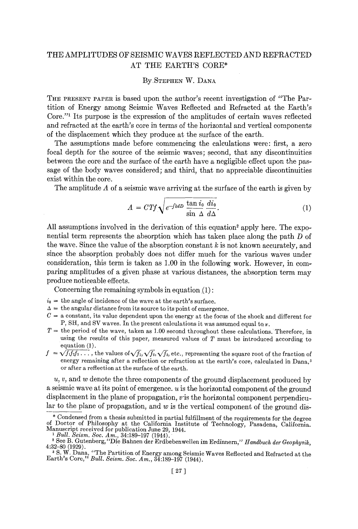# THE AMPLITUDES OF SEISMIC WAVES REFLECTED AND REFRACTED AT THE EARTH'S CORE\*

#### By STEPHEN W. DANA

THE PRESENT PAPER is based upon the author's recent investigation of "The Partition of Energy among Seismic Waves Reflected and Refracted at the Earth's Core."<sup>1</sup> Its purpose is the expression of the amplitudes of certain waves reflected and refracted at the earth's core in terms of the horizontal and vertical components of the displacement which they produce at the surface of the earth.

The assumptions made before commencing the calculations were: first, a zero focal depth for the source of the seismic waves; second, that any discontinuities between the core and the surface of the earth have a negligible effect upon the passage of the body waves considered; and third, that no appreciable discontinuities exist within the core.

The amplitude A of a seismic wave arriving at the surface of the earth is given by

$$
A = CTf \sqrt{e^{-f k dD} \frac{\tan i_0}{\sin \Delta} \frac{di_0}{d\Delta}}.
$$
 (1)

All assumptions involved in the derivation of this equation<sup>2</sup> apply here. The exponential term represents the absorption which has taken place along the path D of the wave. Since the value of the absorption constant  $k$  is not known accurately, and since the absorption probably does not differ much for the various waves under consideration, this term is taken as 1.00 in the following work. However, in comparing amplitudes of a given phase at various distances, the absorption term may produce noticeable effects.

Concerning the remaining symbols in equation (1) :

- $i_0$  = the angle of incidence of the wave at the earth's surface.
- $\Delta$  = the angular distance from its source to its point of emergence.
- $C = a$  constant, its value dependent upon the energy at the focus of the shock and different for P, SH, and SV waves. In the present calculations it was assumed equal to  $\pi$ .
- $T =$  the period of the wave, taken as 1.00 second throughout these calculations. Therefore, in using the results of this paper, measured values of  $T$  must be introduced according to equation (1).
- $f = \sqrt{f_1f_2f_3\ldots}$  , the values of  $\sqrt{f_1}, \sqrt{f_2}, \sqrt{f_3}$ , etc., representing the square root of the fraction of energy remaining after a reflection or refraction at the earth's core, calculated in Dana,<sup>3</sup> or after a reflection at the surface of the earth.

 $u, v$ , and  $w$  denote the three components of the ground displacement produced by a seismic wave at its point of emergence, u is the horizontal component of the ground displacement in the plane of propagation, v'is the horizontal component perpendicular to the plane of propagation, and  $w$  is the vertical component of the ground dis-

<sup>\*</sup> Condensed from a thesis submitted in partial fulfillment of the requirements for the degree of Doctor of Philosophy at the California Institute of Technology, Pasadena, California. Manuscript received for publication June 29, 1944.

<sup>&</sup>lt;sup>1</sup> Bull. Seism. Soc. Am., 34:189-197 (1944).

<sup>2</sup> See B. Gutenberg, "Die Bahnen der Erdbebenwellen im Erdinnern," *Handbuch der Geophysik,*  4:32-80 (1929).

<sup>&</sup>lt;sup>3</sup> S. W. Dana, "The Partition of Energy among Seismic Waves Reflected and Refracted at the Earth's Core," *Bull. Seism. Soc. Am.*, 34:189–197 (1944).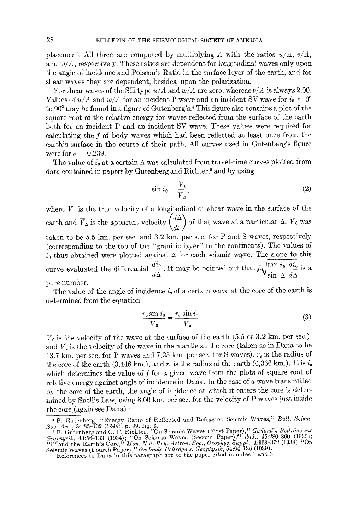placement. All three are computed by multiplying A with the ratios  $u/A$ ,  $v/A$ , and *w/A,* respectively. These ratios are dependent for longitudinal waves only upon the angle of incidence and Poisson's Ratio in the surface layer of the earth, and for shear waves they are dependent, besides, upon the polarization.

For shear waves of the SH type *u/A* and *w/A* are zero, whereas *v/A* is always 2.00. Values of  $u/A$  and  $w/A$  for an incident P wave and an incident SV wave for  $i_0 = 0^{\circ}$ to 90<sup>°</sup> may be found in a figure of Gutenberg's.<sup>4</sup> This figure also contains a plot of the square root of the relative energy for waves reflected from the surface of the earth both for an incident P and an incident SV wave. These values were required for calculating the f of body waves which had been reflected at least once from the earth's surface in the course of their path. All curves used in Gutenberg's figure were for  $\sigma = 0.239$ .

The value of  $i_0$  at a certain  $\Delta$  was calculated from travel-time curves plotted from data contained in papers by Gutenberg and Richter,<sup>5</sup> and by using

$$
\sin i_0 = \frac{V_0}{\overline{V}_\Delta},\tag{2}
$$

where  $V_0$  is the true velocity of a longitudinal or shear wave in the surface of the earth and  $\overline{V}_{\Delta}$  is the apparent velocity  $\left(\frac{d\Delta}{dt}\right)$  of that wave at a particular  $\Delta$ .  $V_0$  was taken to be 5.5 km. per see. and 3.2 km. per see. for P and S waves, respectively (corresponding to the top of the "granitic layer" in the continents). The values of  $i_0$  thus obtained were plotted against  $\Delta$  for each seismic wave. The slope to this curve evaluated the differential  $\frac{di_0}{dx}$ . It may be pointed out that  $f_1/\frac{\tan i_0}{dx}$  is a  $d\Delta$   $\mathbf{v}$  sin  $\Delta$   $d\Delta$ pure number.

The value of the angle of incidence  $i_c$  of a certain wave at the core of the earth is determined from the equation

$$
\frac{r_0 \sin i_0}{V_0} = \frac{r_c \sin i_c}{V_c}.
$$
\n(3)

 $V_0$  is the velocity of the wave at the surface of the earth (5.5 or 3.2 km, per sec.), and  $V_c$  is the velocity of the wave in the mantle at the core (taken as in Dana to be 13.7 km, per sec. for P waves and 7.25 km, per sec. for S waves),  $r_c$  is the radius of the core of the earth (3,446 km.), and  $r_0$  is the radius of the earth (6,366 km.). It is  $i_c$ which determines the value of f for a given wave from the plots of square root of relative energy against angle of incidence in Dana. In the case of a wave transmitted by the core of the earth, the angle of incidence at which it enters the core is determined by Shell's Law, using 8.00 km. per sec. for the velocity of P waves lust inside the core (again see Dana).6

<sup>4</sup> B. Gutenberg, "Energy Ratio of Reflected and Refracted Seismic Waves," *Bull. Seism.* 

Soc. Am., 34:85–102 (1944), p. 99, fig. 3.<br>
6 B. Gutenberg and C. F. Richter, ''On Seismic Waves (First Paper)," *Gerland*'s *Beiträge zur*<br> *Geophysik*, 43:56–133 (1934); ''On Seismic Waves (Second Paper)," ibid., 45:280–

Seismic Waves (Fourth Paper)," *Gerlands Beiträge z. Geophysik*, 54:94-136 (1939).<br>6 References to Dana in this paragraph are to the paper cited in notes 1 and 3.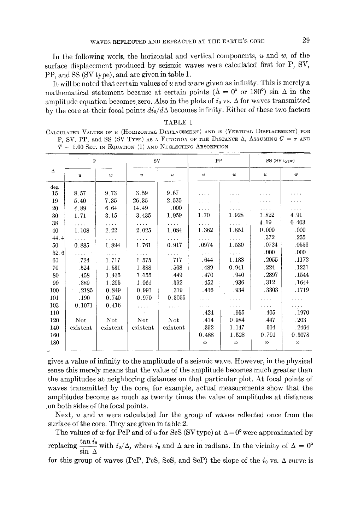In the following work, the horizontal and vertical components,  $u$  and  $w$ , of the surface displacement produced by seismic waves were calculated first for P, SV, PP, and SS (SV type), and are given in table 1.

It will be noted that certain values of u and w are given as infinity. This is merely a mathematical statement because at certain points ( $\Delta = 0^{\circ}$  or 180°) sin  $\Delta$  in the amplitude equation becomes zero. Also in the plots of  $i_0$  vs.  $\Delta$  for waves transmitted by the core at their focal points  $di_0/d\Delta$  becomes infinity. Either of these two factors

|      | $T = 1.00$ Sec. in Equation (1) and Neglecting Absorption |                      |                  |          |                  |            |                  |                      |  |  |  |  |  |
|------|-----------------------------------------------------------|----------------------|------------------|----------|------------------|------------|------------------|----------------------|--|--|--|--|--|
|      | $\mathbf P$                                               |                      | SV               |          | PP               |            | SS (SV type)     |                      |  |  |  |  |  |
| Δ    | и                                                         | w                    | $\boldsymbol{u}$ | w        | $\boldsymbol{u}$ | w          | $\boldsymbol{u}$ | w                    |  |  |  |  |  |
| deg. |                                                           |                      |                  |          |                  |            |                  |                      |  |  |  |  |  |
| 15   | 8.57                                                      | 9.73                 | 3.59             | 9.67     | .                |            |                  |                      |  |  |  |  |  |
| 19   | 5.40                                                      | 7.35                 | 26.35            | 2.535    |                  | .          |                  |                      |  |  |  |  |  |
| 20   | 4.89                                                      | 6.64                 | 14.49            | .000     | $\cdots$         | $\sim 100$ |                  | $\cdots$             |  |  |  |  |  |
| 30   | 1.71                                                      | 3.15                 | 3.435            | 1.959    | 1.70             | 1.928      | 1.822            | 4.91                 |  |  |  |  |  |
| 38   | $\cdots$                                                  | $\sim$ $\sim$ $\sim$ |                  |          | $\cdots$ .       |            | 4.19             | 0.403                |  |  |  |  |  |
| 40   | 1.108                                                     | 2.22                 | 2.025            | 1.084    | 1.362            | 1.851      | 0.000            | .000                 |  |  |  |  |  |
| 44.4 | .                                                         | $\cdots$             | .                | $\ldots$ | .                | .          | .372             | .255                 |  |  |  |  |  |
| 50   | 0.885                                                     | 1.894                | 1.761            | 0.917    | .0974            | 1.530      | .0724            | .0556                |  |  |  |  |  |
| 52.6 | .                                                         | $\cdots$             | .                | $\cdots$ | .                | .          | .000             | .000                 |  |  |  |  |  |
| 60   | .724                                                      | 1.717                | 1.575            | .717     | .644             | 1.188      | .2055            | .1172                |  |  |  |  |  |
| 70   | .524                                                      | 1.531                | 1.388            | .568     | .489             | 0.941      | .224             | .1231                |  |  |  |  |  |
| 80   | .458                                                      | 1.435                | 1.155            | .449     | .470             | .940       | .2897            | .1544                |  |  |  |  |  |
| 90   | .389                                                      | 1.295                | 1.061            | .392     | .452             | .936       | .312             | .1644                |  |  |  |  |  |
| 100  | .2185                                                     | 0.849                | 0.991            | .319     | .436             | .934       | .3303            | .1719                |  |  |  |  |  |
| 101  | .190                                                      | 0.740                | 0.970            | 0.3055   | $\cdots$         | .          | .                | $\cdot$ .            |  |  |  |  |  |
| 103  | 0.1071                                                    | 0.416                | $\cdots$         | $\cdots$ | .                | .          | .                | $\sim$ $\sim$ $\sim$ |  |  |  |  |  |
| 110  |                                                           |                      |                  |          | .424             | .955       | -405             | .1970                |  |  |  |  |  |
| 120  | Not                                                       | Not                  | Not              | Not      | .414             | 0.984      | .447             | .203                 |  |  |  |  |  |
| 140  | existent                                                  | existent             | existent         | existent | .392             | 1.147      | .604             | .2464                |  |  |  |  |  |
| 160  |                                                           |                      |                  |          | 0.488            | 1.528      | 0.791            | 0.3078               |  |  |  |  |  |
| 180  |                                                           |                      |                  |          | $\infty$         | $\infty$   | ${}^{\infty}$    | $\infty$             |  |  |  |  |  |
|      |                                                           |                      |                  |          |                  |            |                  |                      |  |  |  |  |  |

## TABLE 1 CALCULATED VALUES OF U (HORIZONTAL DISPLACEMENT) AND W (VERTICAL DISPLACEMENT) FOR

P, SV, PP, and SS (SV TYPE) AS A FUNCTION OF THE DISTANCE  $\Delta$ , ASSUMING  $C = \pi$  and

gives a value of infinity to the amplitude of a seismic wave. However, in the physical sense this merely means that the value of the amplitude becomes much greater than the amplitudes at neighboring distances on that particular plot. At focal points of waves transmitted by the core, for example, actual measurements show that the amplitudes become as much as twenty times the value of amplitudes at distances

. on both sides of the focal points.

 $\equiv$ 

Next, u and w were calculated for the group of waves reflected once from the surface of the core. They are given in table 2.

The values of w for PcP and of u for ScS (SV type) at  $\Delta = 0^{\circ}$  were approximated by replacing  $\frac{\tan v_0}{\sin \Delta}$  with  $i_0/\Delta$ , where  $i_0$  and  $\Delta$  are in radians. In the vicinity of  $\Delta = 0^\circ$ for this group of waves (PcP, PcS, ScS, and ScP) the slope of the  $i_0$  vs. A curve is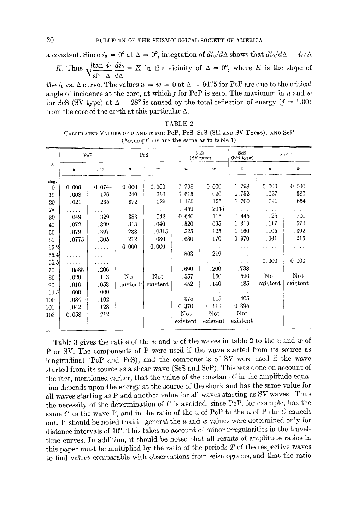a constant. Since  $i_0 = 0^{\circ}$  at  $\Delta = 0^{\circ}$ , integration of  $di_0/d\Delta$  shows that  $di_0/d\Delta = i_0/\Delta$ = K. Thus  $\sqrt{\frac{\tan i_0}{\sin \Delta} \frac{di_0}{d\Delta}}$  = K in the vicinity of  $\Delta = 0^{\circ}$ , where K is the slope of the  $i_0$  vs.  $\Delta$  curve. The values  $u = w = 0$  at  $\Delta = 94^\circ.5$  for PcP are due to the critical angle of incidence at the core, at which f for PeP is zero. The maximum in u and w for ScS (SV type) at  $\Delta = 28^{\circ}$  is caused by the total reflection of energy ( $f = 1.00$ ) from the core of the earth at this particular  $\Delta$ .

TABLE 2 CALCULATED VALUES OF  $u$  and  $w$  for PeP, PeS, SeS (SH and SV TYPES), and SeP (Assumptions are the same as in table 1)

|                           |        |          |          |                  |                  | ScS<br>(SH type)        |          | SeP          |  |
|---------------------------|--------|----------|----------|------------------|------------------|-------------------------|----------|--------------|--|
| $\boldsymbol{\mathit{u}}$ | . 10   | u        | w        | $\boldsymbol{u}$ | $\boldsymbol{w}$ | $\boldsymbol{v}$        | u        | w            |  |
| 0.000                     | 0.0744 | 0.000    | 0.000    | 1.798            | 0.000            | 1.798                   | 0.000    | 0.000        |  |
| .008                      | .126   | . 240    | .010     | 1.615            | .090             |                         |          | $-.380$      |  |
| .021                      | .235   | -372     | .029     | 1.165            | .125             | 1.700                   |          | .654         |  |
| .                         |        |          | .        | 1.459            | .2045            | 1.1.1.1                 | .        | .            |  |
| .049                      | .329   | .383     | .042     | 0.640            | .116             | 1.445                   | .125     | .701         |  |
| .072                      | .399   | .313     | .040     | .520             | .095             | 1.31)                   | .117     | .572         |  |
| .079                      | .397   | .233     | .0315    | .525             | .125             | 1.160                   | .105     | .392         |  |
| .0775                     | .305   | .212     | .030     | $-630$           | . 170            | 0.970                   | .041     | .215         |  |
| 1.1.1.1                   | .      | 0.000    | 0.000    | .                | .                | والمتعاون               | والمتمام |              |  |
| .                         |        |          |          | .803             | .219             | .                       |          |              |  |
| .                         |        |          |          | .                | .                | .                       | 0.000    | 0.000        |  |
| .0535                     | .206   |          |          | .690             | .200             | .738                    |          |              |  |
| .029                      | .143   | Not.     | Not      | .557             | .160             | .590                    | Not      | Not          |  |
| .016                      | .053   | existent | existent | .452             | .140             | .485                    | existent | existent     |  |
| .000                      | .000   |          |          | .                | للمنابذة         | والمناولة               |          |              |  |
| .034                      | .102   |          |          | .375             | .115             | .405                    |          |              |  |
| $.042 -$                  | .128   |          |          | 0.370            | 0.110            | 0.395                   |          |              |  |
| 0.058                     | .212   |          |          | Not              | Not              | $_{\rm Not}$            |          |              |  |
|                           |        |          |          | existent         | existent         | existent                |          |              |  |
|                           |        | PeP      |          | PcS              |                  | <b>ScS</b><br>(SV type) | 1.752    | .027<br>.091 |  |

Table 3 gives the ratios of the u and w of the waves in table 2 to the u and w of P or SV. The components of P were used if the wave started from its source as longitudinal (PcP and PeS), and the components of SV were used if the wave started from its source as a shear wave (SoS and ScP). This was done on account of the fact, mentioned earlier, that the value of the constant  $C$  in the amplitude equation depends upon the energy at the source of the shock and has the same value for all waves starting as P and another value for all waves starting as SV waves. Thus the necessity of the determination of  $C$  is avoided, since PcP, for example, has the same  $C$  as the wave P, and in the ratio of the u of PcP to the u of P the  $C$  cancels out. It should be noted that in general the  $u$  and  $w$  values were determined only for distance intervals of 10<sup>o</sup>. This takes no account of minor irregularities in the traveltime curves. In addition, it should be noted that all results of amplitude ratios in this paper must be multiplied by the ratio of the periods  $T$  of the respective waves to find values comparable with observations from seismograms, and that the ratio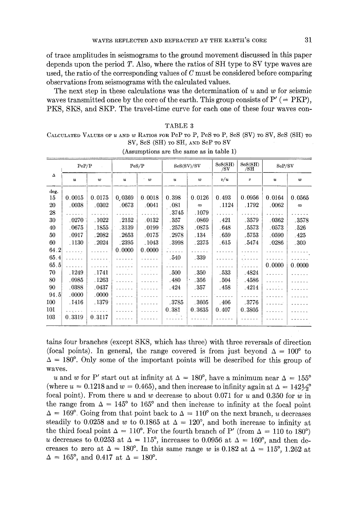of trace amplitudes in seismograms to the ground movement discussed in this paper depends upon the period  $T$ . Also, where the ratios of SH type to SV type waves are used, the ratio of the corresponding values of  $C$  must be considered before comparing observations from seismograms with the calculated values.

The next step in these calculations was the determination of u and w for seismic waves transmitted once by the core of the earth. This group consists of  $P'$  (= PKP), PKS, SKS, and SKP. The travel-time curve for each one of these four waves con-

### TABLE 3

CALCULATED VALUES OF U AND W RATIOS FOR PcP TO P, PcS TO P, ScS (SV) TO SV, ScS (SH) TO SV, ScS (SH) TO SH, AND ScP TO SV

|              | PeP/P           |                 | PeS/P          |                  | SeS(SV)/SV     |                 | ScS(SH)<br>/SV | SeS(SH)<br>/SH  | ScP/SV           |              |
|--------------|-----------------|-----------------|----------------|------------------|----------------|-----------------|----------------|-----------------|------------------|--------------|
| $\Delta$     | u               | w               | и              | $\boldsymbol{w}$ | и              | $\overline{v}$  | v/u            | v               | $\boldsymbol{u}$ | w            |
| deg.<br>15   | 0.0015          | 0.0175          | 0.0369         | 0.0018           | 0.398          | 0.0126          | 0.493          | 0.0956          | 0.0164           | 0.0565       |
| 20           | .0038           | .0302           | .0673          | .0041            | .081           | $\infty$        | . 1124         | .1792           | .0062            | $\infty$     |
| 28<br>30     | .0270           | .1022           | .2152          | .0132            | .3745<br>.357  | 1079<br>.0869   | .421           | .3579           | .0362            | .3578        |
| 40<br>50     | .0675<br>.0917  | . 1855<br>.2082 | .3139<br>.2653 | .0199<br>.0175   | .2578<br>.2978 | .0875<br>. 134  | .648<br>-659   | .5573<br>.5753  | .0573<br>.0590   | .526         |
| 60           | .1130           | .2024           | .2395          | . 1043           | .3998          | .2375           | .615           | .5474           | .0286            | .425<br>.300 |
| 64.2<br>65.4 | .               | .               | 0.0000         | 0.0000           | .<br>.540      | .<br>.339       | .              | .               | .                | .<br>.       |
| 65.5<br>70   |                 |                 |                |                  |                |                 |                | .               | 0.0000           | 0.0000       |
| 80           | , 1249<br>.0985 | . 1741<br>.1263 |                | .<br>1.1.1.1.1   | .500<br>.480   | .350<br>.356    | .533<br>. 504  | .4824<br>.4586  | .<br>.           |              |
| 90<br>94.5   | .0388<br>.0000  | .0437<br>.0000. |                | .                | . 424          | .357            | . 458          | .4214<br>.      | .<br>.           |              |
| 100<br>101   | . 1416          | .1379           | .              |                  | .3785<br>0.381 | .3605<br>0.3635 | .406           | .3776<br>0.3805 | .                |              |
| 103          | .<br>0.3319     | .<br>0.3117     |                | .                |                |                 | 0.407          |                 |                  |              |

(Assumptions are the same as in table 1)

tains four branches (except SKS, which has:three) with three reversals of direction (focal points). In general, the range covered is from just beyond  $\Delta = 100^{\circ}$  to  $\Delta = 180^{\circ}$ . Only some of the important points will be described for this group of waves.

u and w for P' start out at infinity at  $\Delta = 180^{\circ}$ , have a minimum near  $\Delta = 155^{\circ}$ (where  $u = 0.1218$  and  $w = 0.465$ ), and then increase to infinity again at  $\Delta = 142\frac{1}{2}$ focal point). From there u and w decrease to about 0.071 for u and 0.350 for w in the range from  $\Delta = 145^{\circ}$  to 165° and then increase to infinity at the focal point  $\Delta = 169^{\circ}$ . Going from that point back to  $\Delta = 110^{\circ}$  on the next branch, u decreases steadily to 0.0258 and w to 0.1865 at  $\Delta = 120^{\circ}$ , and both increase to infinity at the third focal point  $\Delta = 110^{\circ}$ . For the fourth branch of P' (from  $\Delta = 110$  to 180°) u decreases to 0.0253 at  $\Delta = 115^{\circ}$ , increases to 0.0956 at  $\Delta = 160^{\circ}$ , and then decreases to zero at  $\Delta = 180^{\circ}$ . In this same range w is 0.182 at  $\Delta = 115^{\circ}$ , 1.262 at  $\Delta = 165^{\circ}$ , and 0.417 at  $\Delta = 180^{\circ}$ .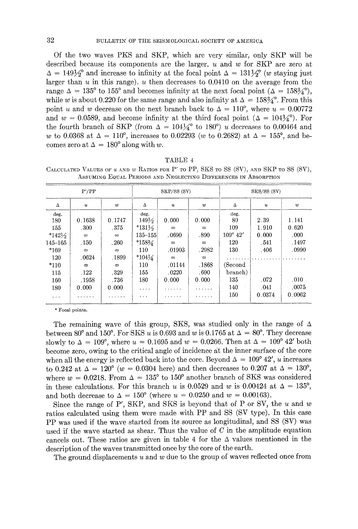Of the two waves PKS and SKP, which are very similar, only SKP will be described because its components are the larger, u and w for SKP are zero at  $\Delta = 149\frac{1}{2}$  and increase to infinity at the focal point  $\Delta = 131\frac{1}{2}$  (w staying just larger than  $u$  in this range),  $u$  then decreases to 0.0410 on the average from the range  $\Delta = 135^{\circ}$  to 155° and becomes infinity at the next focal point  $(\Delta = 158\frac{3}{4})^{\circ}$ , while w is about 0.220 for the same range and also infinity at  $\Delta = 158\frac{3}{4}^{\circ}$ . From this point u and w decrease on the next branch back to  $\Delta = 110^{\circ}$ , where  $u = 0.00772$ and  $w = 0.0589$ , and become infinity at the third focal point  $(\Delta = 104\frac{1}{4})$ . For the fourth branch of SKP (from  $\Delta = 104\frac{1}{4}^{\circ}$  to 180°) u decreases to 0.00464 and w to 0.0368 at  $\Delta = 110^{\circ}$ , increases to 0.02293 (w to 0.2682) at  $\Delta = 155^{\circ}$ , and becomes zero at  $\Delta = 180^\circ$  along with w.

|                                                                      | TABLE 4 |  |
|----------------------------------------------------------------------|---------|--|
| $_{\text{EOD}}$ $\mathbf{P}'$ $_{\text{mo}}$ $\mathbf{P} \mathbf{P}$ |         |  |

|                   | $P^{\prime}/PP$                      |            |                   | SKP/SS (SV)      |          | SKS/SS (SV)       |                  |        |  |
|-------------------|--------------------------------------|------------|-------------------|------------------|----------|-------------------|------------------|--------|--|
| Δ                 | $\boldsymbol{u}$<br>$\boldsymbol{w}$ |            | Δ                 | $\boldsymbol{u}$ | w        | Δ                 | $\boldsymbol{u}$ | w      |  |
| deg.              |                                      |            | deg.              |                  |          | deg.              |                  |        |  |
| 180               | 0.1638                               | 0.1747     | $149\frac{1}{2}$  | 0.000            | 0.000    | 80                | 2.39             | 1.141  |  |
| 155               | .300                                 | .375       | $*131\frac{1}{2}$ | $\infty$         | $\infty$ | 109               | 1.910            | 0.620  |  |
| $*142\frac{1}{2}$ | ${}^{\infty}$                        | $\infty$   | $135 - 155$       | .0690            | .890     | $109^{\circ}$ 42' | 0.000            | .000   |  |
| $145 - 165$       | .150                                 | .260       | $*158\frac{1}{4}$ | $\infty$         | $\infty$ | 120               | .541             | .1497  |  |
| $*169$            | $\infty$                             | $\infty$   | 110               | .01903           | .2982    | 130               | .406             | .0990  |  |
| 120               | .0624                                | .1899      | $*104\frac{1}{4}$ | $\infty$         | $\infty$ |                   |                  |        |  |
| $*110$            | $\infty$                             | $^{\circ}$ | 110               | .01144           | .1868    | (Second)          |                  |        |  |
| 115               | .122                                 | .329       | 155               | .0220            | .690     | branch)           |                  |        |  |
| 160               | .1958                                | .736       | 180               | 0.000            | 0.000    | 135               | .072             | .010   |  |
| 180               | 0.000                                | 0.000      | $\cdots$          | .                | .        | 140               | .041             | .0075  |  |
| $\cdots$          |                                      |            | $\cdots$          | .                | .        | 150               | 0.0374           | 0.0062 |  |

CALCULATED VALUES OF  $u$  and  $w$  Ratios for P' to PP, SKS to SS (SV), and SKP to SS (SV), ASSUMING EQUAL PERIODS AND NEGLECTING DIFFERENCES IN ABSORPTION

\* Focal points.

The remaining wave of this group, SKS, was studied only in the range of  $\Delta$ between 80° and 150°. For SKS u is 0.693 and w is 0.1765 at  $\Delta = 80^{\circ}$ . They decrease slowly to  $\Delta = 109^{\circ}$ , where  $u = 0.1695$  and  $w = 0.0266$ . Then at  $\Delta = 109^{\circ} 42'$  both become zero, owing to the critical angle of incidence gt the inner surface of the core when all the energy is reflected back into the core. Beyond  $\Delta = 109^{\circ} 42'$ , u increases to 0.242 at  $\Delta = 120^{\circ}$  (w = 0.0304 here) and then decreases to 0.207 at  $\Delta = 130^{\circ}$ , where  $w = 0.0218$ . From  $\Delta = 135^{\circ}$  to 150° another branch of SKS was considered in these calculations. For this branch u is 0.0529 and w is 0.00424 at  $\Delta = 135^{\circ}$ , and both decrease to  $\Delta = 150^{\circ}$  (where  $u = 0.0250$  and  $w = 0.00163$ ).

Since the range of P', SKP, and SKS is beyond that of P or SV, the  $u$  and  $w$ ratios calculated using them were made with PP and SS (SV type). In this case PP was used if the wave started from its source as longitudinal, and SS (SV) was used if the wave started as shear. Thus the value of  $C$  in the amplitude equation cancels out. These ratios are given in table 4 for the  $\Delta$  values mentioned in the description of the waves transmitted once by the core of the earth.

The ground displacements  $u$  and  $w$  due to the group of waves reflected once from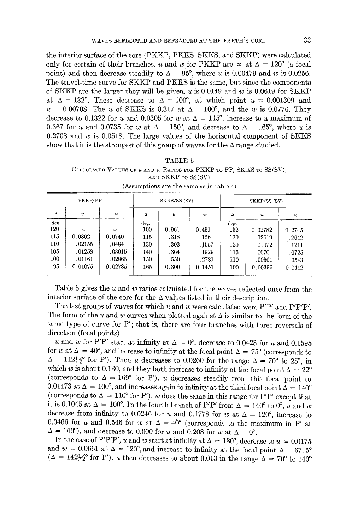the interior surface of the core (PKKP, PKKS, SKKS, and SKKP) were calculated only for certain of their branches, u and w for PKKP are  $\infty$  at  $\Delta = 120^{\circ}$  (a focal point) and then decrease steadily to  $\Delta = 95^{\circ}$ , where u is 0.00479 and w is 0.0256. The travel-time curve for SKKP and PKKS is the same, but since the components of SKKP are the larger they will be given,  $u$  is 0.0149 and  $w$  is 0.0619 for SKKP at  $\Delta = 132^{\circ}$ . These decrease to  $\Delta = 100^{\circ}$ , at which point  $u = 0.001309$  and  $w = 0.00708$ . The u of SKKS is 0.317 at  $\Delta = 100^{\circ}$ , and the w is 0.0776. They decrease to 0.1322 for u and 0.0305 for w at  $\Delta = 115^{\circ}$ , increase to a maximum of 0.367 for u and 0.0735 for w at  $\Delta = 150^{\circ}$ , and decrease to  $\Delta = 165^{\circ}$ , where u is 0.2708 and  $w$  is 0.0518. The large values of the horizontal component of SKKS show that it is the strongest of this group of waves for the  $\Delta$  range studied.

|                                                                         |  | TABLE 5            |  |  |  |
|-------------------------------------------------------------------------|--|--------------------|--|--|--|
| CALCULATED VALUES OF $u$ and $w$ Ratios for PKKP to PP, SKKS to SS(SV), |  |                    |  |  |  |
|                                                                         |  | AND SKKP TO SS(SV) |  |  |  |

|      | PKKP/PP  |          |      | SKKS/SS(SV) |        | SKKP/SS (SV) |                  |        |  |
|------|----------|----------|------|-------------|--------|--------------|------------------|--------|--|
| Δ    | u        | w        | Δ    | u           | 2D     | Δ            | $\boldsymbol{u}$ | w      |  |
| deg. |          |          | deg. |             |        | deg.         |                  |        |  |
| 120  | $\infty$ | $\infty$ | 100  | 0.961       | 0.451  | 132          | 0.02782          | 0.2745 |  |
| 115  | 0.0362   | 0.0740   | 115  | .318        | .156   | 130          | .02619           | .2642  |  |
| 110  | .02155   | .0484    | 130  | .303        | .1557  | 120          | .01072           | . 1211 |  |
| 105  | .01258   | .03015   | 140  | .364        | . 1929 | 115          | .0070            | .0725  |  |
| 100  | .01161   | .02865   | 150  | .550        | .2781  | 110          | .00501           | .0543  |  |
| 95   | 0.01075  | 0.02735  | 165  | 0.300       | 0.1451 | 100          | 0.00396          | 0.0412 |  |

| (Assumptions are the same as in table 4) |  |  |  |  |
|------------------------------------------|--|--|--|--|
|                                          |  |  |  |  |

Table 5 gives the  $u$  and  $w$  ratios calculated for the waves reflected once from the interior surface of the core for the  $\Delta$  values listed in their description.

The last groups of waves for which u and w were calculated were  $P'P'$  and  $P'P'P'$ . The form of the u and w curves when plotted against  $\Delta$  is similar to the form of the same type of curve for  $P'$ ; that is, there are four branches with three reversals of direction (focal points).

u and w for P'P' start at infinity at  $\Delta = 0^{\circ}$ , decrease to 0.0423 for u and 0.1595 for w at  $\Delta = 40^{\circ}$ , and increase to infinity at the focal point  $\Delta = 75^{\circ}$  (corresponds to  $\Delta = 142\frac{1}{2}$  for P'). Then u decreases to 0.0260 for the range  $\Delta = 70^{\circ}$  to 25°, in which w is about 0.130, and they both increase to infinity at the focal point  $\Delta = 22^{\circ}$ (corresponds to  $\Delta = 169^{\circ}$  for P'). u decreases steadily from this focal point to 0.01473 at  $\Delta = 100^{\circ}$ , and increases again to infinity at the third focal point  $\Delta = 140^{\circ}$ (corresponds to  $\Delta = 110^{\circ}$  for P'). w does the same in this range for P'P' except that it is 0.1045 at  $\Delta = 100^{\circ}$ . In the fourth branch of P'P' from  $\Delta = 140^{\circ}$  to 0°, u and w decrease from infinity to 0.0246 for u and 0.1778 for w at  $\Delta = 120^{\circ}$ , increase to 0.0466 for u and 0.546 for w at  $\Delta = 40^{\circ}$  (corresponds to the maximum in P' at  $\Delta = 160^{\circ}$ , and decrease to 0.000 for u and 0.208 for w at  $\Delta = 0^{\circ}$ .

In the case of P'P'P', u and w start at infinity at  $\Delta = 180^{\circ}$ , decrease to  $u = 0.0175$ and  $w = 0.0661$  at  $\Delta = 120^{\circ}$ , and increase to infinity at the focal point  $\Delta = 67.5^{\circ}$ ( $\Delta = 142\frac{1}{2}^{\circ}$  for P'). *u* then decreases to about 0.013 in the range  $\Delta = 70^{\circ}$  to 140<sup>o</sup>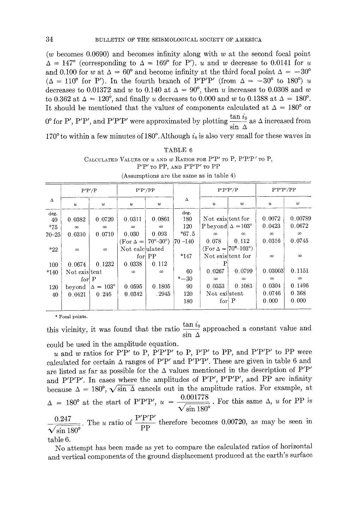$(w)$  becomes 0.0690) and becomes infinity along with w at the second focal point  $\Delta = 147^{\circ}$  (corresponding to  $\Delta = 169^{\circ}$  for P'). u and w decrease to 0.0141 for u and 0.100 for w at  $\Delta = 60^{\circ}$  and become infinity at the third focal point  $\Delta = -30^{\circ}$ ( $\Delta = 110^{\circ}$  for P'). In the fourth branch of P'P'P' (from  $\Delta = -30^{\circ}$  to 180<sup>o</sup>) u decreases to 0.01372 and w to 0.140 at  $\Delta = 90^{\circ}$ , then u increases to 0.0308 and w to 0.362 at  $\Delta = 120^{\circ}$ , and finally u decreases to 0.000 and w to 0.1388 at  $\Delta = 180^{\circ}$ . It should be mentioned that the values of components calculated at  $\Delta = 180^{\circ}$  or  $0^{\circ}$  for P', P'P', and P'P'P' were approximated by plotting  $\frac{2.44}{100}$  as  $\Delta$  increased from  $\sin \Delta$ 170 $\degree$  to within a few minutes of 180 $\degree$ . Although  $i_0$  is also very small for these waves in

|                     |                    |                        |                                  |                                      |                         | (Assumptions are the same as in table 4)                       |                   |                    |                    |
|---------------------|--------------------|------------------------|----------------------------------|--------------------------------------|-------------------------|----------------------------------------------------------------|-------------------|--------------------|--------------------|
|                     | P'P'/PP<br>P'P'/P  |                        |                                  | P'P'P'/P                             |                         | P'P'P'/PP                                                      |                   |                    |                    |
| $\Delta$            | и                  | $\boldsymbol{w}$       | $\boldsymbol{u}$                 | w                                    | Δ                       | $\boldsymbol{u}$                                               | w                 | $\boldsymbol{u}$   | $\boldsymbol{u}$   |
| deg.<br>40<br>$*75$ | 0.0382<br>$\infty$ | 0.0720<br>$\infty$     | 0.0311<br>$\infty$               | 0.0861<br>$\infty$                   | deg.<br>180<br>120      | Not existent for<br>P beyond $\Delta = 103^{\circ}$            |                   | 0.0072<br>0.0423   | 0.00789<br>0.0672  |
| $70 - 25$           | 0.0310             | 0.0710                 | 0.030<br>$(\text{For } \Delta =$ | 0.093<br>$70^{\circ} - 30^{\circ}$ ) | $*67.5$<br>$ 70 - 140 $ | $\infty$<br>0.078                                              | $\infty$<br>0.112 | $\infty$<br>0.0316 | $\infty$<br>0.0745 |
| $*22$               | $\infty$           | $\infty$               | Not calculated                   | for PP                               | $*147$                  | $(For \Delta =  70^{\circ} - 103^{\circ})$<br>Not existent for |                   | $\infty$           | $\infty$           |
| 100                 | 0.0674             | 0.1232                 | 0.0338                           | 0.112                                |                         | Ρ                                                              |                   |                    |                    |
| $*140$              | Not existent       |                        | $\infty$                         | $\infty$                             | 60                      | 0.0267                                                         | 0.0799            | 0.03003            | 0.1151             |
|                     | for $P$            |                        |                                  |                                      | $^{*} - 30$             | $\infty$                                                       | $\infty$          | $\infty$           | $\infty$           |
| 120                 | beyond             | $\Delta = 103^{\circ}$ | 0.0595                           | 0.1805                               | 90                      | 0.0353                                                         | 0.1081            | 0.0304             | 0.1496             |
| 40                  | 0.0421             | 0.246                  | 0.0342                           | . 2945                               | 120                     | Not existent                                                   |                   | 0.0746             | 0.368              |
|                     |                    |                        |                                  |                                      | 180                     | for $P$                                                        |                   | 0.000              | 0.000              |

| CALCULATED VALUES OF $u$ and $w$ Ratios for P'P' to P, P'P'P' to P, | $P'P'$ to PP, and $P'P'P'$ to PP                                                                                |  |  |  |
|---------------------------------------------------------------------|-----------------------------------------------------------------------------------------------------------------|--|--|--|
|                                                                     | the contract of the contract of the contract of the contract of the contract of the contract of the contract of |  |  |  |

TABLE 6

\* Focal points.

this vicinity, it was found that the ratio  $\frac{1}{\sin \Delta}$  approached a constant value and

could be used in the amplitude equation.

u and w ratios for P'P' to P, P'P' to P, P'P' to PP, and P'P'P' to PP were calculated for certain  $\Delta$  ranges of P'P' and P'P'P'. These are given in table 6 and are listed as far as possible for the  $\Delta$  values mentioned in the description of P'P' and P'P'P'. In cases where the amplitudes of P'P', P'P'P', and PP are infinity because  $\Delta = 180^{\circ}$ ,  $\sqrt{\sin \Delta}$  cancels out in the amplitude ratios. For example, at  $\Delta = 180^\circ$  at the start of P'P'P',  $u = \frac{0.001778}{\sqrt{1.100^\circ}}$ . For this same  $\Delta$ , u for PP is  $p/p/p'$  $\frac{0.247}{0.247}$ . The u ratio of  $\frac{1}{244}$  therefore becomes 0.00720, as may be seen in  $\sqrt{\sin 180^\circ}$  PP table 6.

No attempt has been made as yet to compare the calculated ratios of horizontal and vertical components of the ground displacement produced at the earth's surface